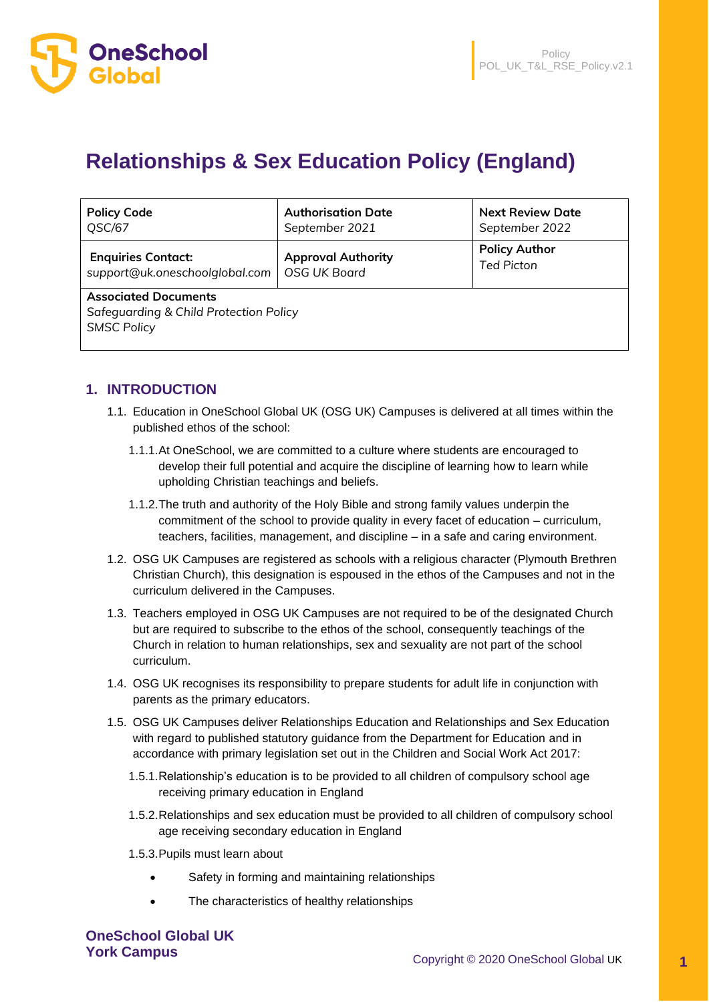

# **Relationships & Sex Education Policy (England)**

| <b>Policy Code</b>                                                                          | <b>Authorisation Date</b> | <b>Next Review Date</b> |  |  |  |
|---------------------------------------------------------------------------------------------|---------------------------|-------------------------|--|--|--|
| QSC/67                                                                                      | September 2021            | September 2022          |  |  |  |
| <b>Enquiries Contact:</b>                                                                   | <b>Approval Authority</b> | <b>Policy Author</b>    |  |  |  |
| support@uk.oneschoolglobal.com                                                              | <b>OSG UK Board</b>       | <b>Ted Picton</b>       |  |  |  |
| <b>Associated Documents</b><br>Safeguarding & Child Protection Policy<br><b>SMSC Policy</b> |                           |                         |  |  |  |

# **1. INTRODUCTION**

- 1.1. Education in OneSchool Global UK (OSG UK) Campuses is delivered at all times within the published ethos of the school:
	- 1.1.1.At OneSchool, we are committed to a culture where students are encouraged to develop their full potential and acquire the discipline of learning how to learn while upholding Christian teachings and beliefs.
	- 1.1.2.The truth and authority of the Holy Bible and strong family values underpin the commitment of the school to provide quality in every facet of education – curriculum, teachers, facilities, management, and discipline – in a safe and caring environment.
- 1.2. OSG UK Campuses are registered as schools with a religious character (Plymouth Brethren Christian Church), this designation is espoused in the ethos of the Campuses and not in the curriculum delivered in the Campuses.
- 1.3. Teachers employed in OSG UK Campuses are not required to be of the designated Church but are required to subscribe to the ethos of the school, consequently teachings of the Church in relation to human relationships, sex and sexuality are not part of the school curriculum.
- 1.4. OSG UK recognises its responsibility to prepare students for adult life in conjunction with parents as the primary educators.
- 1.5. OSG UK Campuses deliver Relationships Education and Relationships and Sex Education with regard to published statutory guidance from the Department for Education and in accordance with primary legislation set out in the Children and Social Work Act 2017:
	- 1.5.1.Relationship's education is to be provided to all children of compulsory school age receiving primary education in England
	- 1.5.2.Relationships and sex education must be provided to all children of compulsory school age receiving secondary education in England
	- 1.5.3.Pupils must learn about
		- Safety in forming and maintaining relationships
		- The characteristics of healthy relationships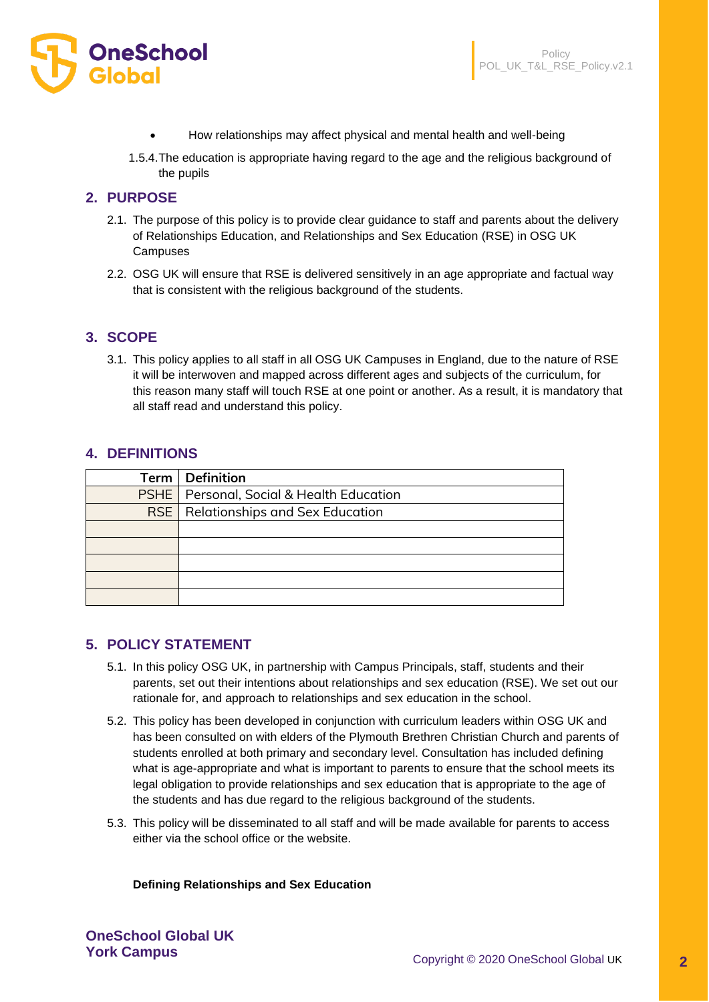

- How relationships may affect physical and mental health and well-being
- 1.5.4.The education is appropriate having regard to the age and the religious background of the pupils

# **2. PURPOSE**

- 2.1. The purpose of this policy is to provide clear guidance to staff and parents about the delivery of Relationships Education, and Relationships and Sex Education (RSE) in OSG UK **Campuses**
- 2.2. OSG UK will ensure that RSE is delivered sensitively in an age appropriate and factual way that is consistent with the religious background of the students.

# **3. SCOPE**

3.1. This policy applies to all staff in all OSG UK Campuses in England, due to the nature of RSE it will be interwoven and mapped across different ages and subjects of the curriculum, for this reason many staff will touch RSE at one point or another. As a result, it is mandatory that all staff read and understand this policy.

# **4. DEFINITIONS**

| Term   Definition                               |  |
|-------------------------------------------------|--|
| <b>PSHE</b> Personal, Social & Health Education |  |
| <b>RSE</b> Relationships and Sex Education      |  |
|                                                 |  |
|                                                 |  |
|                                                 |  |
|                                                 |  |
|                                                 |  |

# **5. POLICY STATEMENT**

- 5.1. In this policy OSG UK, in partnership with Campus Principals, staff, students and their parents, set out their intentions about relationships and sex education (RSE). We set out our rationale for, and approach to relationships and sex education in the school.
- 5.2. This policy has been developed in conjunction with curriculum leaders within OSG UK and has been consulted on with elders of the Plymouth Brethren Christian Church and parents of students enrolled at both primary and secondary level. Consultation has included defining what is age-appropriate and what is important to parents to ensure that the school meets its legal obligation to provide relationships and sex education that is appropriate to the age of the students and has due regard to the religious background of the students.
- 5.3. This policy will be disseminated to all staff and will be made available for parents to access either via the school office or the website.

**Defining Relationships and Sex Education**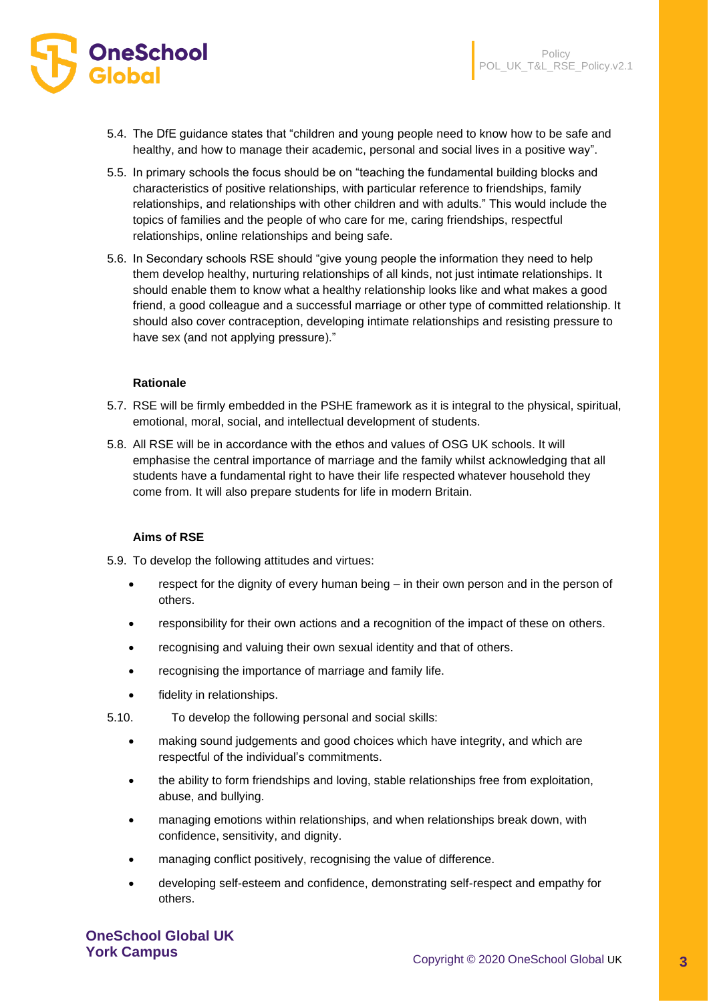

- 5.4. The DfE guidance states that "children and young people need to know how to be safe and healthy, and how to manage their academic, personal and social lives in a positive way".
- 5.5. In primary schools the focus should be on "teaching the fundamental building blocks and characteristics of positive relationships, with particular reference to friendships, family relationships, and relationships with other children and with adults." This would include the topics of families and the people of who care for me, caring friendships, respectful relationships, online relationships and being safe.
- 5.6. In Secondary schools RSE should "give young people the information they need to help them develop healthy, nurturing relationships of all kinds, not just intimate relationships. It should enable them to know what a healthy relationship looks like and what makes a good friend, a good colleague and a successful marriage or other type of committed relationship. It should also cover contraception, developing intimate relationships and resisting pressure to have sex (and not applying pressure)."

#### **Rationale**

- 5.7. RSE will be firmly embedded in the PSHE framework as it is integral to the physical, spiritual, emotional, moral, social, and intellectual development of students.
- 5.8. All RSE will be in accordance with the ethos and values of OSG UK schools. It will emphasise the central importance of marriage and the family whilst acknowledging that all students have a fundamental right to have their life respected whatever household they come from. It will also prepare students for life in modern Britain.

#### **Aims of RSE**

- 5.9. To develop the following attitudes and virtues:
	- respect for the dignity of every human being in their own person and in the person of others.
	- responsibility for their own actions and a recognition of the impact of these on others.
	- recognising and valuing their own sexual identity and that of others.
	- recognising the importance of marriage and family life.
	- fidelity in relationships.
- 5.10. To develop the following personal and social skills:
	- making sound judgements and good choices which have integrity, and which are respectful of the individual's commitments.
	- the ability to form friendships and loving, stable relationships free from exploitation, abuse, and bullying.
	- managing emotions within relationships, and when relationships break down, with confidence, sensitivity, and dignity.
	- managing conflict positively, recognising the value of difference.
	- developing self-esteem and confidence, demonstrating self-respect and empathy for others.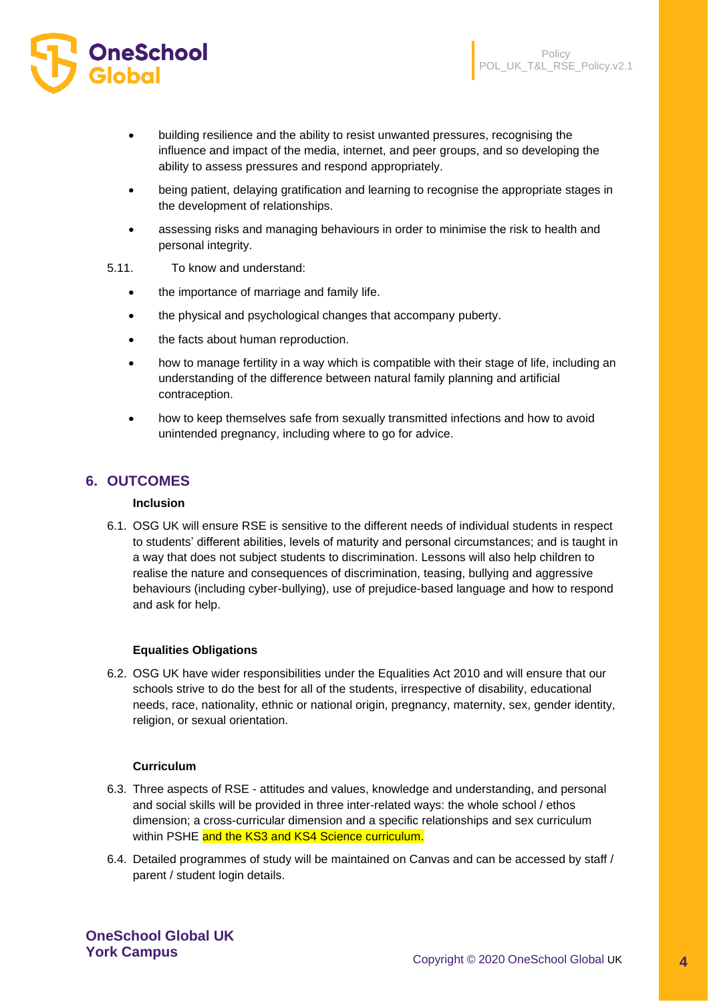

- building resilience and the ability to resist unwanted pressures, recognising the influence and impact of the media, internet, and peer groups, and so developing the ability to assess pressures and respond appropriately.
- being patient, delaying gratification and learning to recognise the appropriate stages in the development of relationships.
- assessing risks and managing behaviours in order to minimise the risk to health and personal integrity.
- 5.11. To know and understand:
	- the importance of marriage and family life.
	- the physical and psychological changes that accompany puberty.
	- the facts about human reproduction.
	- how to manage fertility in a way which is compatible with their stage of life, including an understanding of the difference between natural family planning and artificial contraception.
	- how to keep themselves safe from sexually transmitted infections and how to avoid unintended pregnancy, including where to go for advice.

# **6. OUTCOMES**

# **Inclusion**

6.1. OSG UK will ensure RSE is sensitive to the different needs of individual students in respect to students' different abilities, levels of maturity and personal circumstances; and is taught in a way that does not subject students to discrimination. Lessons will also help children to realise the nature and consequences of discrimination, teasing, bullying and aggressive behaviours (including cyber-bullying), use of prejudice-based language and how to respond and ask for help.

## **Equalities Obligations**

6.2. OSG UK have wider responsibilities under the Equalities Act 2010 and will ensure that our schools strive to do the best for all of the students, irrespective of disability, educational needs, race, nationality, ethnic or national origin, pregnancy, maternity, sex, gender identity, religion, or sexual orientation.

#### **Curriculum**

- 6.3. Three aspects of RSE attitudes and values, knowledge and understanding, and personal and social skills will be provided in three inter-related ways: the whole school / ethos dimension; a cross-curricular dimension and a specific relationships and sex curriculum within PSHE and the KS3 and KS4 Science curriculum.
- 6.4. Detailed programmes of study will be maintained on Canvas and can be accessed by staff / parent / student login details.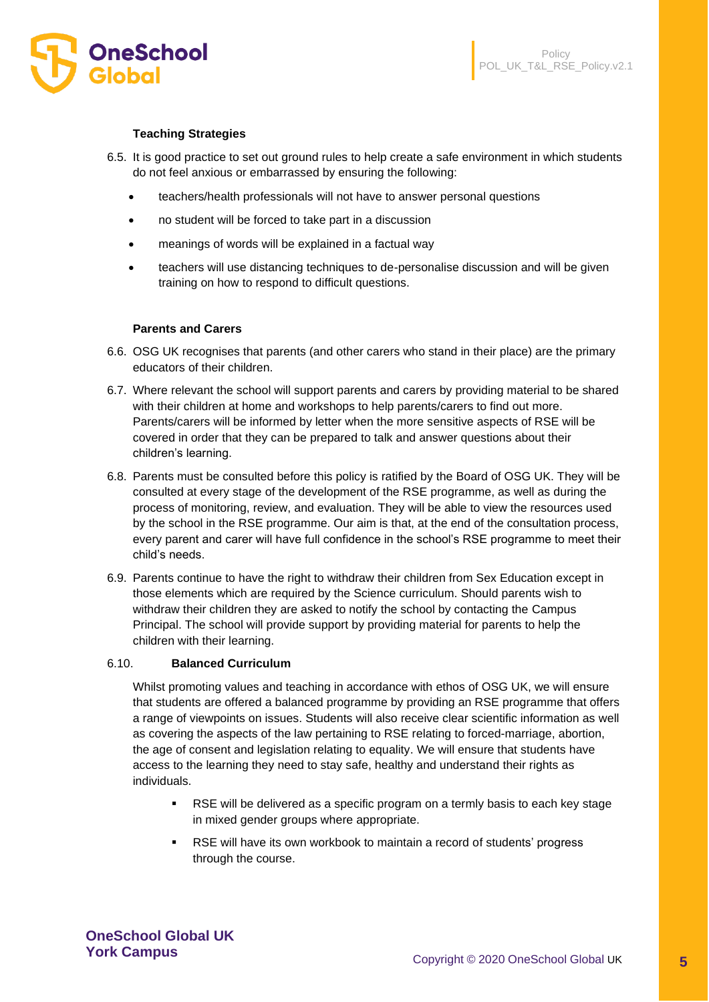

## **Teaching Strategies**

- 6.5. It is good practice to set out ground rules to help create a safe environment in which students do not feel anxious or embarrassed by ensuring the following:
	- teachers/health professionals will not have to answer personal questions
	- no student will be forced to take part in a discussion
	- meanings of words will be explained in a factual way
	- teachers will use distancing techniques to de-personalise discussion and will be given training on how to respond to difficult questions.

#### **Parents and Carers**

- 6.6. OSG UK recognises that parents (and other carers who stand in their place) are the primary educators of their children.
- 6.7. Where relevant the school will support parents and carers by providing material to be shared with their children at home and workshops to help parents/carers to find out more. Parents/carers will be informed by letter when the more sensitive aspects of RSE will be covered in order that they can be prepared to talk and answer questions about their children's learning.
- 6.8. Parents must be consulted before this policy is ratified by the Board of OSG UK. They will be consulted at every stage of the development of the RSE programme, as well as during the process of monitoring, review, and evaluation. They will be able to view the resources used by the school in the RSE programme. Our aim is that, at the end of the consultation process, every parent and carer will have full confidence in the school's RSE programme to meet their child's needs.
- 6.9. Parents continue to have the right to withdraw their children from Sex Education except in those elements which are required by the Science curriculum. Should parents wish to withdraw their children they are asked to notify the school by contacting the Campus Principal. The school will provide support by providing material for parents to help the children with their learning.

#### 6.10. **Balanced Curriculum**

Whilst promoting values and teaching in accordance with ethos of OSG UK, we will ensure that students are offered a balanced programme by providing an RSE programme that offers a range of viewpoints on issues. Students will also receive clear scientific information as well as covering the aspects of the law pertaining to RSE relating to forced-marriage, abortion, the age of consent and legislation relating to equality. We will ensure that students have access to the learning they need to stay safe, healthy and understand their rights as individuals.

- RSE will be delivered as a specific program on a termly basis to each key stage in mixed gender groups where appropriate.
- RSE will have its own workbook to maintain a record of students' progress through the course.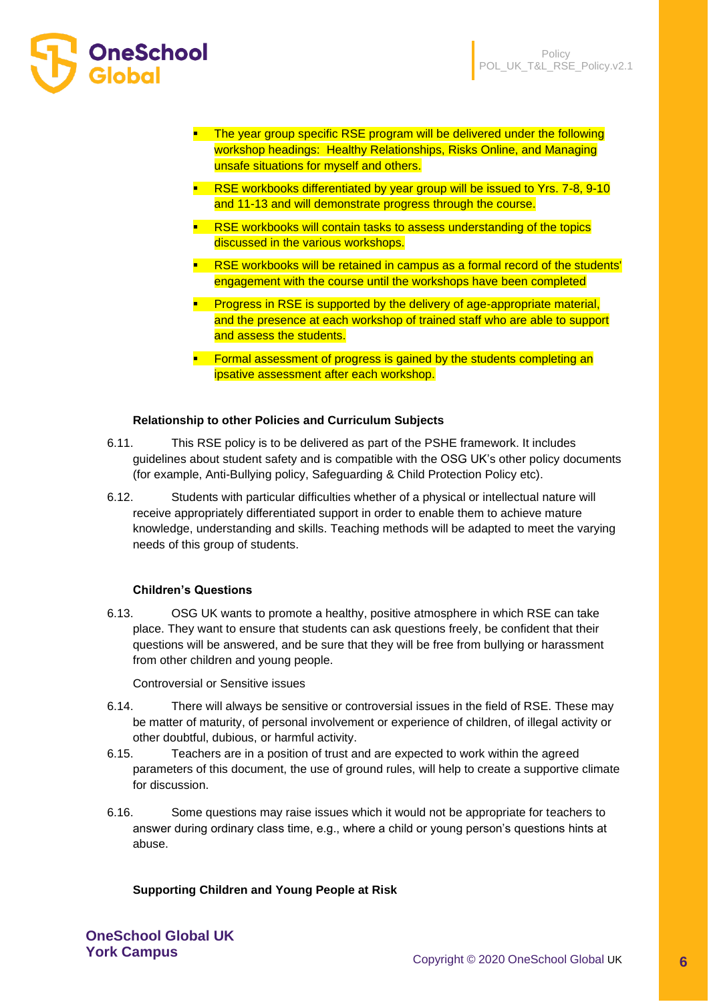

- **•** The year group specific RSE program will be delivered under the following workshop headings: Healthy Relationships, Risks Online, and Managing unsafe situations for myself and others.
- **EXEX** RSE workbooks differentiated by year group will be issued to Yrs. 7-8, 9-10 and 11-13 and will demonstrate progress through the course.
- **RSE workbooks will contain tasks to assess understanding of the topics** discussed in the various workshops.
- **EXEX F** RSE workbooks will be retained in campus as a formal record of the students' engagement with the course until the workshops have been completed
- **•** Progress in RSE is supported by the delivery of age-appropriate material, and the presence at each workshop of trained staff who are able to support and assess the students.
- **EXECTE FORMAL EXAGRED FIGURE** FORMAL **F** Formal assessment of progress is gained by the students completing an ipsative assessment after each workshop.

## **Relationship to other Policies and Curriculum Subjects**

- 6.11. This RSE policy is to be delivered as part of the PSHE framework. It includes guidelines about student safety and is compatible with the OSG UK's other policy documents (for example, Anti-Bullying policy, Safeguarding & Child Protection Policy etc).
- 6.12. Students with particular difficulties whether of a physical or intellectual nature will receive appropriately differentiated support in order to enable them to achieve mature knowledge, understanding and skills. Teaching methods will be adapted to meet the varying needs of this group of students.

## **Children's Questions**

6.13. OSG UK wants to promote a healthy, positive atmosphere in which RSE can take place. They want to ensure that students can ask questions freely, be confident that their questions will be answered, and be sure that they will be free from bullying or harassment from other children and young people.

Controversial or Sensitive issues

- 6.14. There will always be sensitive or controversial issues in the field of RSE. These may be matter of maturity, of personal involvement or experience of children, of illegal activity or other doubtful, dubious, or harmful activity.
- 6.15. Teachers are in a position of trust and are expected to work within the agreed parameters of this document, the use of ground rules, will help to create a supportive climate for discussion.
- 6.16. Some questions may raise issues which it would not be appropriate for teachers to answer during ordinary class time, e.g., where a child or young person's questions hints at abuse.

## **Supporting Children and Young People at Risk**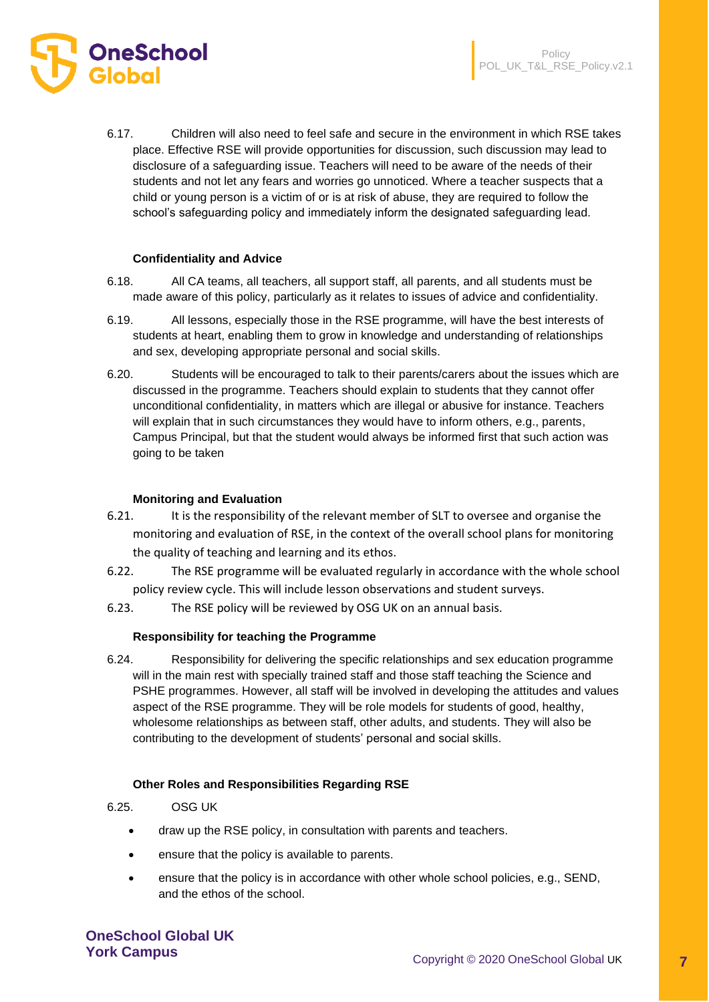

6.17. Children will also need to feel safe and secure in the environment in which RSE takes place. Effective RSE will provide opportunities for discussion, such discussion may lead to disclosure of a safeguarding issue. Teachers will need to be aware of the needs of their students and not let any fears and worries go unnoticed. Where a teacher suspects that a child or young person is a victim of or is at risk of abuse, they are required to follow the school's safeguarding policy and immediately inform the designated safeguarding lead.

#### **Confidentiality and Advice**

- 6.18. All CA teams, all teachers, all support staff, all parents, and all students must be made aware of this policy, particularly as it relates to issues of advice and confidentiality.
- 6.19. All lessons, especially those in the RSE programme, will have the best interests of students at heart, enabling them to grow in knowledge and understanding of relationships and sex, developing appropriate personal and social skills.
- 6.20. Students will be encouraged to talk to their parents/carers about the issues which are discussed in the programme. Teachers should explain to students that they cannot offer unconditional confidentiality, in matters which are illegal or abusive for instance. Teachers will explain that in such circumstances they would have to inform others, e.g., parents, Campus Principal, but that the student would always be informed first that such action was going to be taken

#### **Monitoring and Evaluation**

- 6.21. It is the responsibility of the relevant member of SLT to oversee and organise the monitoring and evaluation of RSE, in the context of the overall school plans for monitoring the quality of teaching and learning and its ethos.
- 6.22. The RSE programme will be evaluated regularly in accordance with the whole school policy review cycle. This will include lesson observations and student surveys.
- 6.23. The RSE policy will be reviewed by OSG UK on an annual basis.

#### **Responsibility for teaching the Programme**

6.24. Responsibility for delivering the specific relationships and sex education programme will in the main rest with specially trained staff and those staff teaching the Science and PSHE programmes. However, all staff will be involved in developing the attitudes and values aspect of the RSE programme. They will be role models for students of good, healthy, wholesome relationships as between staff, other adults, and students. They will also be contributing to the development of students' personal and social skills.

#### **Other Roles and Responsibilities Regarding RSE**

6.25. OSG UK

- draw up the RSE policy, in consultation with parents and teachers.
- ensure that the policy is available to parents.
- ensure that the policy is in accordance with other whole school policies, e.g., SEND, and the ethos of the school.